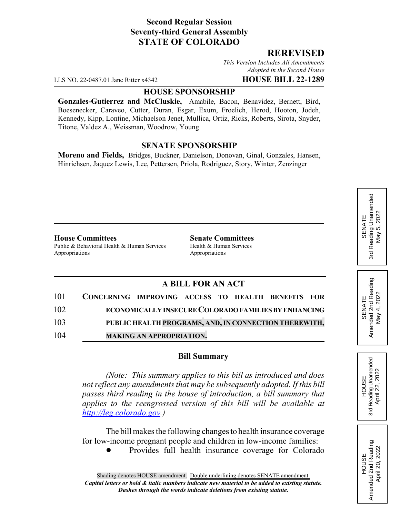## **Second Regular Session Seventy-third General Assembly STATE OF COLORADO**

### **REREVISED**

*This Version Includes All Amendments Adopted in the Second House*

LLS NO. 22-0487.01 Jane Ritter x4342 **HOUSE BILL 22-1289**

#### **HOUSE SPONSORSHIP**

**Gonzales-Gutierrez and McCluskie,** Amabile, Bacon, Benavidez, Bernett, Bird, Boesenecker, Caraveo, Cutter, Duran, Esgar, Exum, Froelich, Herod, Hooton, Jodeh, Kennedy, Kipp, Lontine, Michaelson Jenet, Mullica, Ortiz, Ricks, Roberts, Sirota, Snyder, Titone, Valdez A., Weissman, Woodrow, Young

#### **SENATE SPONSORSHIP**

**Moreno and Fields,** Bridges, Buckner, Danielson, Donovan, Ginal, Gonzales, Hansen, Hinrichsen, Jaquez Lewis, Lee, Pettersen, Priola, Rodriguez, Story, Winter, Zenzinger

#### **House Committees Senate Committees**

Public & Behavioral Health & Human Services Health & Human Services Appropriations Appropriations

## **A BILL FOR AN ACT**

|     | 101 CONCERNING IMPROVING ACCESS TO HEALTH BENEFITS FOR      |                                                       |  |  |  |
|-----|-------------------------------------------------------------|-------------------------------------------------------|--|--|--|
| 102 | <b>ECONOMICALLY INSECURE COLORADO FAMILIES BY ENHANCING</b> |                                                       |  |  |  |
| 103 |                                                             | PUBLIC HEALTH PROGRAMS, AND, IN CONNECTION THEREWITH, |  |  |  |
| 104 |                                                             | <b>MAKING AN APPROPRIATION.</b>                       |  |  |  |

#### **Bill Summary**

*(Note: This summary applies to this bill as introduced and does not reflect any amendments that may be subsequently adopted. If this bill passes third reading in the house of introduction, a bill summary that applies to the reengrossed version of this bill will be available at http://leg.colorado.gov.)*

The bill makes the following changes to health insurance coverage for low-income pregnant people and children in low-income families:

Provides full health insurance coverage for Colorado

# SENATE<br>Reading Unamended 3rd Reading Unamended 5,2022 May 5, 2022 May ! 3rd

SENATE<br>Amended 2nd Reading Amended 2nd Reading May 4, 2022 May 4, 2022

**HOUSE** 3rd Reading Unamended April 22, 2022

Reading Unamended April 22, 2022

3rd

HOUSE<br>Amended 2nd Reading Amended 2nd Reading April 20, 2022

April 20, 2022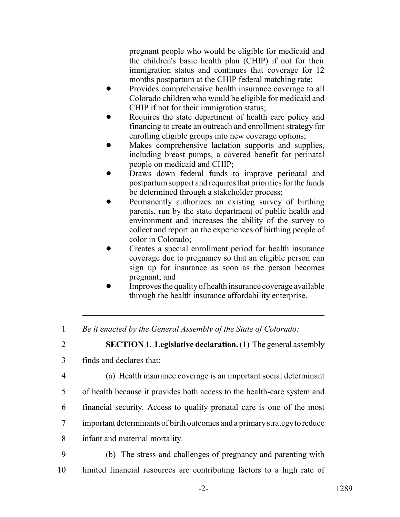pregnant people who would be eligible for medicaid and the children's basic health plan (CHIP) if not for their immigration status and continues that coverage for 12 months postpartum at the CHIP federal matching rate;

- Provides comprehensive health insurance coverage to all Colorado children who would be eligible for medicaid and CHIP if not for their immigration status;
- Requires the state department of health care policy and financing to create an outreach and enrollment strategy for enrolling eligible groups into new coverage options;
- Makes comprehensive lactation supports and supplies, including breast pumps, a covered benefit for perinatal people on medicaid and CHIP;
- Draws down federal funds to improve perinatal and postpartum support and requires that priorities for the funds be determined through a stakeholder process;
- Permanently authorizes an existing survey of birthing parents, run by the state department of public health and environment and increases the ability of the survey to collect and report on the experiences of birthing people of color in Colorado;
- ! Creates a special enrollment period for health insurance coverage due to pregnancy so that an eligible person can sign up for insurance as soon as the person becomes pregnant; and
- ! Improves the quality of health insurance coverage available through the health insurance affordability enterprise.

1 *Be it enacted by the General Assembly of the State of Colorado:*

- 2 **SECTION 1. Legislative declaration.** (1) The general assembly
- 3 finds and declares that:
- 

4 (a) Health insurance coverage is an important social determinant

5 of health because it provides both access to the health-care system and

- 6 financial security. Access to quality prenatal care is one of the most
- 7 important determinants of birth outcomes and a primary strategy to reduce
- 8 infant and maternal mortality.
- 9 (b) The stress and challenges of pregnancy and parenting with 10 limited financial resources are contributing factors to a high rate of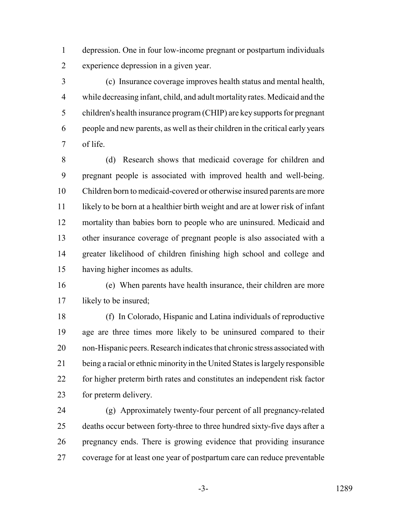depression. One in four low-income pregnant or postpartum individuals experience depression in a given year.

 (c) Insurance coverage improves health status and mental health, while decreasing infant, child, and adult mortality rates. Medicaid and the children's health insurance program (CHIP) are key supports for pregnant people and new parents, as well as their children in the critical early years of life.

 (d) Research shows that medicaid coverage for children and pregnant people is associated with improved health and well-being. Children born to medicaid-covered or otherwise insured parents are more likely to be born at a healthier birth weight and are at lower risk of infant mortality than babies born to people who are uninsured. Medicaid and other insurance coverage of pregnant people is also associated with a greater likelihood of children finishing high school and college and having higher incomes as adults.

 (e) When parents have health insurance, their children are more 17 likely to be insured;

 (f) In Colorado, Hispanic and Latina individuals of reproductive age are three times more likely to be uninsured compared to their non-Hispanic peers. Research indicates that chronic stress associated with being a racial or ethnic minority in the United States is largely responsible for higher preterm birth rates and constitutes an independent risk factor for preterm delivery.

 (g) Approximately twenty-four percent of all pregnancy-related deaths occur between forty-three to three hundred sixty-five days after a pregnancy ends. There is growing evidence that providing insurance coverage for at least one year of postpartum care can reduce preventable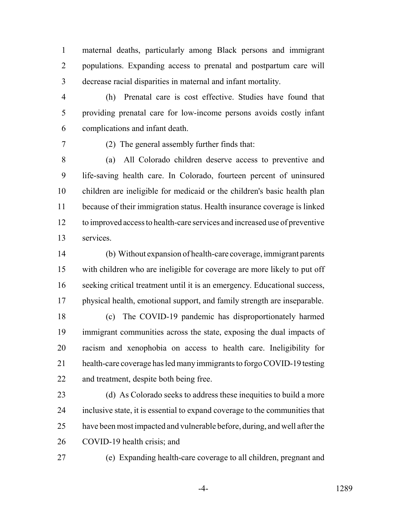maternal deaths, particularly among Black persons and immigrant populations. Expanding access to prenatal and postpartum care will decrease racial disparities in maternal and infant mortality.

 (h) Prenatal care is cost effective. Studies have found that providing prenatal care for low-income persons avoids costly infant complications and infant death.

(2) The general assembly further finds that:

 (a) All Colorado children deserve access to preventive and life-saving health care. In Colorado, fourteen percent of uninsured children are ineligible for medicaid or the children's basic health plan because of their immigration status. Health insurance coverage is linked to improved access to health-care services and increased use of preventive services.

 (b) Without expansion of health-care coverage, immigrant parents with children who are ineligible for coverage are more likely to put off seeking critical treatment until it is an emergency. Educational success, physical health, emotional support, and family strength are inseparable.

 (c) The COVID-19 pandemic has disproportionately harmed immigrant communities across the state, exposing the dual impacts of racism and xenophobia on access to health care. Ineligibility for health-care coverage has led many immigrants to forgo COVID-19 testing and treatment, despite both being free.

23 (d) As Colorado seeks to address these inequities to build a more inclusive state, it is essential to expand coverage to the communities that have been most impacted and vulnerable before, during, and well after the COVID-19 health crisis; and

(e) Expanding health-care coverage to all children, pregnant and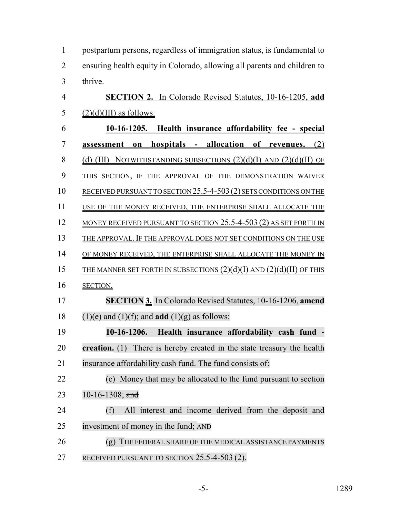|                | postpartum persons, regardless of immigration status, is fundamental to  |
|----------------|--------------------------------------------------------------------------|
| 2              | ensuring health equity in Colorado, allowing all parents and children to |
| 3 <sup>7</sup> | thrive.                                                                  |

| $\overline{4}$ | <b>SECTION 2.</b> In Colorado Revised Statutes, 10-16-1205, add          |
|----------------|--------------------------------------------------------------------------|
| 5              | $(2)(d)(III)$ as follows:                                                |
| 6              | 10-16-1205. Health insurance affordability fee - special                 |
| 7              | hospitals - allocation of revenues. (2)<br>assessment<br>$\mathbf{on}$   |
| 8              | (d) (III) NOTWITHSTANDING SUBSECTIONS $(2)(d)(I)$ AND $(2)(d)(II)$ OF    |
| 9              | THIS SECTION, IF THE APPROVAL OF THE DEMONSTRATION WAIVER                |
| 10             | RECEIVED PURSUANT TO SECTION 25.5-4-503 (2) SETS CONDITIONS ON THE       |
| 11             | USE OF THE MONEY RECEIVED, THE ENTERPRISE SHALL ALLOCATE THE             |
| 12             | MONEY RECEIVED PURSUANT TO SECTION $25.5$ -4-503 (2) AS SET FORTH IN     |
| 13             | THE APPROVAL. IF THE APPROVAL DOES NOT SET CONDITIONS ON THE USE         |
| 14             | OF MONEY RECEIVED, THE ENTERPRISE SHALL ALLOCATE THE MONEY IN            |
| 15             | THE MANNER SET FORTH IN SUBSECTIONS $(2)(d)(I)$ AND $(2)(d)(II)$ OF THIS |
| 16             | SECTION.                                                                 |
| 17             | SECTION 3. In Colorado Revised Statutes, 10-16-1206, amend               |
| 18             | $(1)(e)$ and $(1)(f)$ ; and <b>add</b> $(1)(g)$ as follows:              |
| 19             | Health insurance affordability cash fund -<br>$10-16-1206.$              |
| 20             | creation. (1) There is hereby created in the state treasury the health   |
| 21             | insurance affordability cash fund. The fund consists of:                 |
| 22             | (e) Money that may be allocated to the fund pursuant to section          |
| 23             | 10-16-1308; and                                                          |
| 24             | All interest and income derived from the deposit and<br>(f)              |
| 25             | investment of money in the fund; AND                                     |
|                |                                                                          |
| 26             | THE FEDERAL SHARE OF THE MEDICAL ASSISTANCE PAYMENTS<br>(g)              |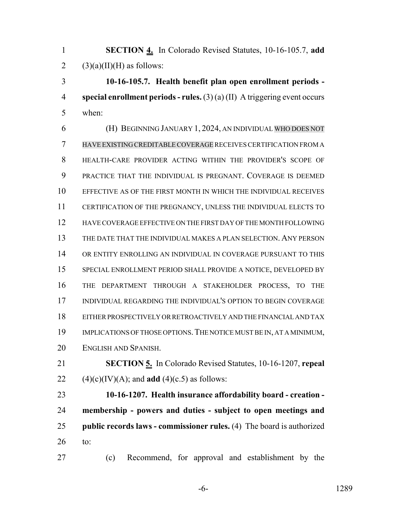**SECTION 4.** In Colorado Revised Statutes, 10-16-105.7, **add** 2 (3)(a)(II)(H) as follows:

 **10-16-105.7. Health benefit plan open enrollment periods - special enrollment periods - rules.** (3) (a) (II) A triggering event occurs when:

 (H) BEGINNING JANUARY 1, 2024, AN INDIVIDUAL WHO DOES NOT HAVE EXISTING CREDITABLECOVERAGE RECEIVES CERTIFICATION FROM A HEALTH-CARE PROVIDER ACTING WITHIN THE PROVIDER'S SCOPE OF PRACTICE THAT THE INDIVIDUAL IS PREGNANT. COVERAGE IS DEEMED EFFECTIVE AS OF THE FIRST MONTH IN WHICH THE INDIVIDUAL RECEIVES CERTIFICATION OF THE PREGNANCY, UNLESS THE INDIVIDUAL ELECTS TO HAVE COVERAGE EFFECTIVE ON THE FIRST DAY OF THE MONTH FOLLOWING THE DATE THAT THE INDIVIDUAL MAKES A PLAN SELECTION. ANY PERSON OR ENTITY ENROLLING AN INDIVIDUAL IN COVERAGE PURSUANT TO THIS SPECIAL ENROLLMENT PERIOD SHALL PROVIDE A NOTICE, DEVELOPED BY THE DEPARTMENT THROUGH A STAKEHOLDER PROCESS, TO THE INDIVIDUAL REGARDING THE INDIVIDUAL'S OPTION TO BEGIN COVERAGE EITHER PROSPECTIVELY OR RETROACTIVELY AND THE FINANCIAL AND TAX 19 IMPLICATIONS OF THOSE OPTIONS. THE NOTICE MUST BE IN, AT A MINIMUM, ENGLISH AND SPANISH.

 **SECTION 5.** In Colorado Revised Statutes, 10-16-1207, **repeal** 22 (4)(c)(IV)(A); and **add** (4)(c.5) as follows:

 **10-16-1207. Health insurance affordability board - creation - membership - powers and duties - subject to open meetings and public records laws - commissioner rules.** (4) The board is authorized to:

(c) Recommend, for approval and establishment by the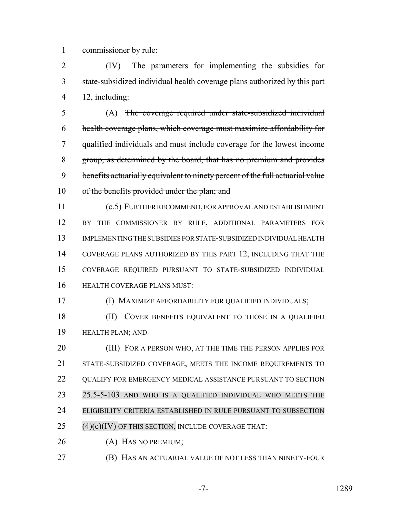commissioner by rule:

 (IV) The parameters for implementing the subsidies for state-subsidized individual health coverage plans authorized by this part 12, including:

 (A) The coverage required under state-subsidized individual health coverage plans, which coverage must maximize affordability for qualified individuals and must include coverage for the lowest income group, as determined by the board, that has no premium and provides 9 benefits actuarially equivalent to ninety percent of the full actuarial value 10 of the benefits provided under the plan; and

 (c.5) FURTHER RECOMMEND, FOR APPROVAL AND ESTABLISHMENT 12 BY THE COMMISSIONER BY RULE, ADDITIONAL PARAMETERS FOR IMPLEMENTING THE SUBSIDIES FOR STATE-SUBSIDIZED INDIVIDUAL HEALTH COVERAGE PLANS AUTHORIZED BY THIS PART 12, INCLUDING THAT THE COVERAGE REQUIRED PURSUANT TO STATE-SUBSIDIZED INDIVIDUAL HEALTH COVERAGE PLANS MUST:

(I) MAXIMIZE AFFORDABILITY FOR QUALIFIED INDIVIDUALS;

18 (II) COVER BENEFITS EQUIVALENT TO THOSE IN A QUALIFIED HEALTH PLAN; AND

20 (III) FOR A PERSON WHO, AT THE TIME THE PERSON APPLIES FOR STATE-SUBSIDIZED COVERAGE, MEETS THE INCOME REQUIREMENTS TO 22 QUALIFY FOR EMERGENCY MEDICAL ASSISTANCE PURSUANT TO SECTION 25.5-5-103 AND WHO IS A QUALIFIED INDIVIDUAL WHO MEETS THE ELIGIBILITY CRITERIA ESTABLISHED IN RULE PURSUANT TO SUBSECTION (4)(c)(IV) OF THIS SECTION, INCLUDE COVERAGE THAT:

(A) HAS NO PREMIUM;

(B) HAS AN ACTUARIAL VALUE OF NOT LESS THAN NINETY-FOUR

-7- 1289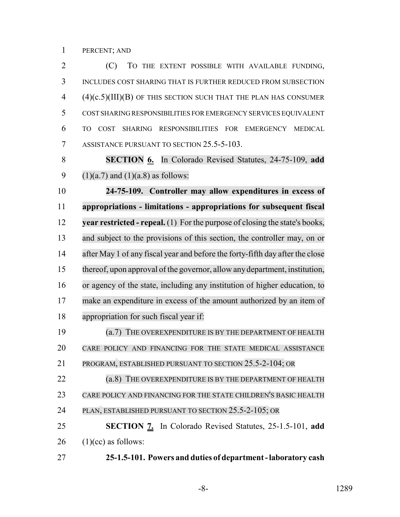PERCENT; AND

 (C) TO THE EXTENT POSSIBLE WITH AVAILABLE FUNDING, INCLUDES COST SHARING THAT IS FURTHER REDUCED FROM SUBSECTION (4)(c.5)(III)(B) OF THIS SECTION SUCH THAT THE PLAN HAS CONSUMER COST SHARING RESPONSIBILITIES FOR EMERGENCY SERVICES EQUIVALENT TO COST SHARING RESPONSIBILITIES FOR EMERGENCY MEDICAL 7 ASSISTANCE PURSUANT TO SECTION 25.5-5-103.

 **SECTION 6.** In Colorado Revised Statutes, 24-75-109, **add** 9 (1)(a.7) and (1)(a.8) as follows:

 **24-75-109. Controller may allow expenditures in excess of appropriations - limitations - appropriations for subsequent fiscal year restricted - repeal.** (1) For the purpose of closing the state's books, and subject to the provisions of this section, the controller may, on or after May 1 of any fiscal year and before the forty-fifth day after the close thereof, upon approval of the governor, allow anydepartment, institution, or agency of the state, including any institution of higher education, to make an expenditure in excess of the amount authorized by an item of appropriation for such fiscal year if:

 (a.7) THE OVEREXPENDITURE IS BY THE DEPARTMENT OF HEALTH CARE POLICY AND FINANCING FOR THE STATE MEDICAL ASSISTANCE

PROGRAM, ESTABLISHED PURSUANT TO SECTION 25.5-2-104; OR

 (a.8) THE OVEREXPENDITURE IS BY THE DEPARTMENT OF HEALTH CARE POLICY AND FINANCING FOR THE STATE CHILDREN'S BASIC HEALTH

```
24 PLAN, ESTABLISHED PURSUANT TO SECTION 25.5-2-105; OR
```
 **SECTION 7.** In Colorado Revised Statutes, 25-1.5-101, **add** (1)(cc) as follows:

**25-1.5-101. Powers and duties of department - laboratory cash**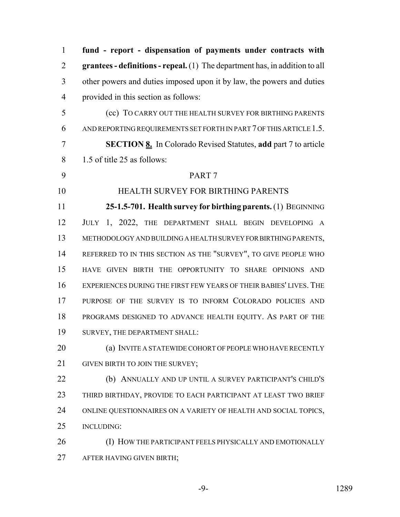**fund - report - dispensation of payments under contracts with grantees - definitions - repeal.** (1) The department has, in addition to all other powers and duties imposed upon it by law, the powers and duties provided in this section as follows: (cc) TO CARRY OUT THE HEALTH SURVEY FOR BIRTHING PARENTS AND REPORTING REQUIREMENTS SET FORTH IN PART 7 OF THIS ARTICLE 1.5. **SECTION 8.** In Colorado Revised Statutes, **add** part 7 to article 1.5 of title 25 as follows: PART 7 HEALTH SURVEY FOR BIRTHING PARENTS **25-1.5-701. Health survey for birthing parents.** (1) BEGINNING JULY 1, 2022, THE DEPARTMENT SHALL BEGIN DEVELOPING A METHODOLOGY AND BUILDING A HEALTH SURVEY FOR BIRTHING PARENTS, REFERRED TO IN THIS SECTION AS THE "SURVEY", TO GIVE PEOPLE WHO HAVE GIVEN BIRTH THE OPPORTUNITY TO SHARE OPINIONS AND EXPERIENCES DURING THE FIRST FEW YEARS OF THEIR BABIES' LIVES. THE PURPOSE OF THE SURVEY IS TO INFORM COLORADO POLICIES AND PROGRAMS DESIGNED TO ADVANCE HEALTH EQUITY. AS PART OF THE SURVEY, THE DEPARTMENT SHALL: (a) INVITE A STATEWIDE COHORT OF PEOPLE WHO HAVE RECENTLY 21 GIVEN BIRTH TO JOIN THE SURVEY; (b) ANNUALLY AND UP UNTIL A SURVEY PARTICIPANT'S CHILD'S THIRD BIRTHDAY, PROVIDE TO EACH PARTICIPANT AT LEAST TWO BRIEF ONLINE QUESTIONNAIRES ON A VARIETY OF HEALTH AND SOCIAL TOPICS, INCLUDING: (I) HOW THE PARTICIPANT FEELS PHYSICALLY AND EMOTIONALLY AFTER HAVING GIVEN BIRTH;

-9- 1289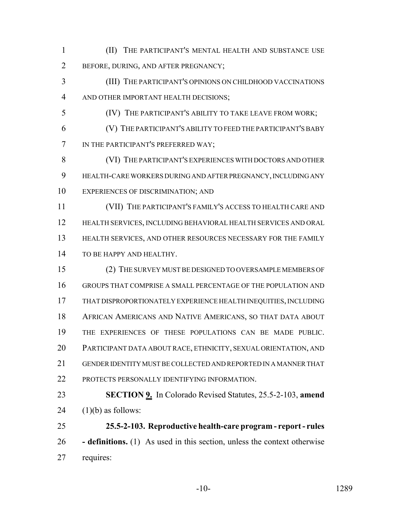(II) THE PARTICIPANT'S MENTAL HEALTH AND SUBSTANCE USE BEFORE, DURING, AND AFTER PREGNANCY;

 (III) THE PARTICIPANT'S OPINIONS ON CHILDHOOD VACCINATIONS AND OTHER IMPORTANT HEALTH DECISIONS;

- (IV) THE PARTICIPANT'S ABILITY TO TAKE LEAVE FROM WORK;
- (V) THE PARTICIPANT'S ABILITY TO FEED THE PARTICIPANT'S BABY IN THE PARTICIPANT'S PREFERRED WAY;

 (VI) THE PARTICIPANT'S EXPERIENCES WITH DOCTORS AND OTHER HEALTH-CARE WORKERS DURING AND AFTER PREGNANCY, INCLUDING ANY EXPERIENCES OF DISCRIMINATION; AND

 (VII) THE PARTICIPANT'S FAMILY'S ACCESS TO HEALTH CARE AND HEALTH SERVICES, INCLUDING BEHAVIORAL HEALTH SERVICES AND ORAL HEALTH SERVICES, AND OTHER RESOURCES NECESSARY FOR THE FAMILY 14 TO BE HAPPY AND HEALTHY.

 (2) THE SURVEY MUST BE DESIGNED TO OVERSAMPLE MEMBERS OF GROUPS THAT COMPRISE A SMALL PERCENTAGE OF THE POPULATION AND THAT DISPROPORTIONATELY EXPERIENCE HEALTH INEQUITIES, INCLUDING AFRICAN AMERICANS AND NATIVE AMERICANS, SO THAT DATA ABOUT THE EXPERIENCES OF THESE POPULATIONS CAN BE MADE PUBLIC. PARTICIPANT DATA ABOUT RACE, ETHNICITY, SEXUAL ORIENTATION, AND GENDER IDENTITY MUST BE COLLECTED AND REPORTED IN A MANNER THAT PROTECTS PERSONALLY IDENTIFYING INFORMATION.

 **SECTION 9.** In Colorado Revised Statutes, 25.5-2-103, **amend** 24  $(1)(b)$  as follows:

 **25.5-2-103. Reproductive health-care program - report - rules - definitions.** (1) As used in this section, unless the context otherwise requires: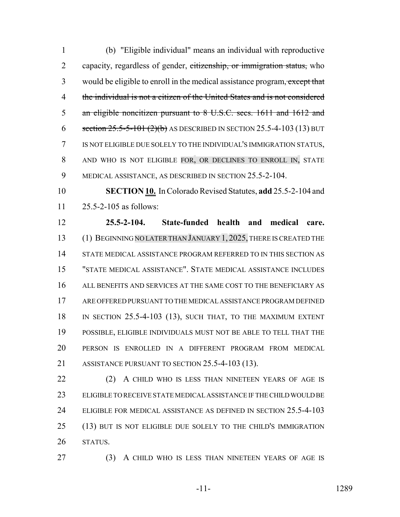(b) "Eligible individual" means an individual with reproductive 2 capacity, regardless of gender, citizenship, or immigration status, who 3 would be eligible to enroll in the medical assistance program, except that the individual is not a citizen of the United States and is not considered an eligible noncitizen pursuant to 8 U.S.C. secs. 1611 and 1612 and 6 section  $25.5-5-101(2)(b)$  AS DESCRIBED IN SECTION 25.5-4-103 (13) BUT IS NOT ELIGIBLE DUE SOLELY TO THE INDIVIDUAL'S IMMIGRATION STATUS, 8 AND WHO IS NOT ELIGIBLE FOR, OR DECLINES TO ENROLL IN, STATE MEDICAL ASSISTANCE, AS DESCRIBED IN SECTION 25.5-2-104.

 **SECTION 10.** In Colorado Revised Statutes, **add** 25.5-2-104 and 25.5-2-105 as follows:

 **25.5-2-104. State-funded health and medical care.** (1) BEGINNING NO LATERTHAN JANUARY 1, 2025, THERE IS CREATED THE STATE MEDICAL ASSISTANCE PROGRAM REFERRED TO IN THIS SECTION AS "STATE MEDICAL ASSISTANCE". STATE MEDICAL ASSISTANCE INCLUDES ALL BENEFITS AND SERVICES AT THE SAME COST TO THE BENEFICIARY AS ARE OFFERED PURSUANT TO THE MEDICAL ASSISTANCE PROGRAM DEFINED IN SECTION 25.5-4-103 (13), SUCH THAT, TO THE MAXIMUM EXTENT POSSIBLE, ELIGIBLE INDIVIDUALS MUST NOT BE ABLE TO TELL THAT THE PERSON IS ENROLLED IN A DIFFERENT PROGRAM FROM MEDICAL 21 ASSISTANCE PURSUANT TO SECTION 25.5-4-103 (13).

22 (2) A CHILD WHO IS LESS THAN NINETEEN YEARS OF AGE IS ELIGIBLE TO RECEIVE STATE MEDICAL ASSISTANCE IF THE CHILD WOULD BE 24 ELIGIBLE FOR MEDICAL ASSISTANCE AS DEFINED IN SECTION 25.5-4-103 (13) BUT IS NOT ELIGIBLE DUE SOLELY TO THE CHILD'S IMMIGRATION STATUS.

(3) A CHILD WHO IS LESS THAN NINETEEN YEARS OF AGE IS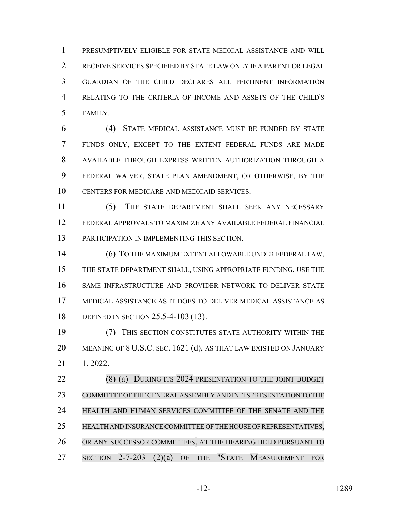PRESUMPTIVELY ELIGIBLE FOR STATE MEDICAL ASSISTANCE AND WILL RECEIVE SERVICES SPECIFIED BY STATE LAW ONLY IF A PARENT OR LEGAL GUARDIAN OF THE CHILD DECLARES ALL PERTINENT INFORMATION RELATING TO THE CRITERIA OF INCOME AND ASSETS OF THE CHILD'S FAMILY.

 (4) STATE MEDICAL ASSISTANCE MUST BE FUNDED BY STATE FUNDS ONLY, EXCEPT TO THE EXTENT FEDERAL FUNDS ARE MADE AVAILABLE THROUGH EXPRESS WRITTEN AUTHORIZATION THROUGH A FEDERAL WAIVER, STATE PLAN AMENDMENT, OR OTHERWISE, BY THE CENTERS FOR MEDICARE AND MEDICAID SERVICES.

 (5) THE STATE DEPARTMENT SHALL SEEK ANY NECESSARY FEDERAL APPROVALS TO MAXIMIZE ANY AVAILABLE FEDERAL FINANCIAL PARTICIPATION IN IMPLEMENTING THIS SECTION.

 (6) TO THE MAXIMUM EXTENT ALLOWABLE UNDER FEDERAL LAW, THE STATE DEPARTMENT SHALL, USING APPROPRIATE FUNDING, USE THE SAME INFRASTRUCTURE AND PROVIDER NETWORK TO DELIVER STATE MEDICAL ASSISTANCE AS IT DOES TO DELIVER MEDICAL ASSISTANCE AS DEFINED IN SECTION 25.5-4-103 (13).

 (7) THIS SECTION CONSTITUTES STATE AUTHORITY WITHIN THE 20 MEANING OF 8 U.S.C. SEC. 1621 (d), AS THAT LAW EXISTED ON JANUARY 1, 2022.

 (8) (a) DURING ITS 2024 PRESENTATION TO THE JOINT BUDGET COMMITTEE OFTHE GENERALASSEMBLY AND IN ITS PRESENTATION TO THE HEALTH AND HUMAN SERVICES COMMITTEE OF THE SENATE AND THE HEALTH AND INSURANCE COMMITTEE OF THE HOUSE OF REPRESENTATIVES, OR ANY SUCCESSOR COMMITTEES, AT THE HEARING HELD PURSUANT TO SECTION 2-7-203 (2)(a) OF THE "STATE MEASUREMENT FOR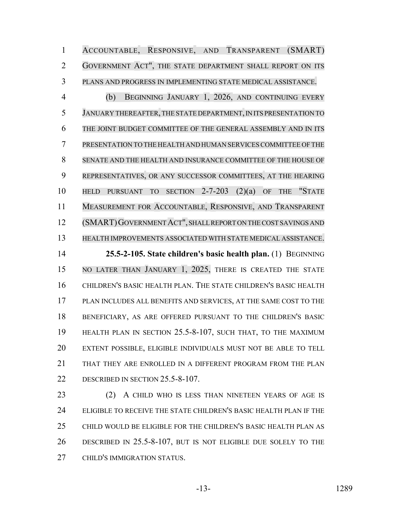ACCOUNTABLE, RESPONSIVE, AND TRANSPARENT (SMART) GOVERNMENT ACT", THE STATE DEPARTMENT SHALL REPORT ON ITS PLANS AND PROGRESS IN IMPLEMENTING STATE MEDICAL ASSISTANCE.

 (b) BEGINNING JANUARY 1, 2026, AND CONTINUING EVERY JANUARY THEREAFTER,THE STATE DEPARTMENT, IN ITS PRESENTATION TO THE JOINT BUDGET COMMITTEE OF THE GENERAL ASSEMBLY AND IN ITS PRESENTATION TO THE HEALTH AND HUMAN SERVICESCOMMITTEE OF THE SENATE AND THE HEALTH AND INSURANCE COMMITTEE OF THE HOUSE OF REPRESENTATIVES, OR ANY SUCCESSOR COMMITTEES, AT THE HEARING HELD PURSUANT TO SECTION 2-7-203 (2)(a) OF THE "STATE MEASUREMENT FOR ACCOUNTABLE, RESPONSIVE, AND TRANSPARENT (SMART)GOVERNMENTACT", SHALL REPORT ON THE COST SAVINGS AND HEALTH IMPROVEMENTS ASSOCIATED WITH STATE MEDICAL ASSISTANCE. **25.5-2-105. State children's basic health plan.** (1) BEGINNING

 NO LATER THAN JANUARY 1, 2025, THERE IS CREATED THE STATE CHILDREN'S BASIC HEALTH PLAN. THE STATE CHILDREN'S BASIC HEALTH PLAN INCLUDES ALL BENEFITS AND SERVICES, AT THE SAME COST TO THE BENEFICIARY, AS ARE OFFERED PURSUANT TO THE CHILDREN'S BASIC HEALTH PLAN IN SECTION 25.5-8-107, SUCH THAT, TO THE MAXIMUM EXTENT POSSIBLE, ELIGIBLE INDIVIDUALS MUST NOT BE ABLE TO TELL THAT THEY ARE ENROLLED IN A DIFFERENT PROGRAM FROM THE PLAN 22 DESCRIBED IN SECTION 25.5-8-107.

23 (2) A CHILD WHO IS LESS THAN NINETEEN YEARS OF AGE IS ELIGIBLE TO RECEIVE THE STATE CHILDREN'S BASIC HEALTH PLAN IF THE CHILD WOULD BE ELIGIBLE FOR THE CHILDREN'S BASIC HEALTH PLAN AS DESCRIBED IN 25.5-8-107, BUT IS NOT ELIGIBLE DUE SOLELY TO THE CHILD'S IMMIGRATION STATUS.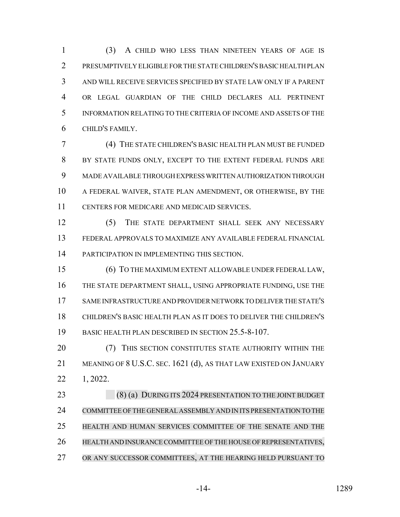(3) A CHILD WHO LESS THAN NINETEEN YEARS OF AGE IS PRESUMPTIVELY ELIGIBLE FOR THE STATE CHILDREN'S BASIC HEALTH PLAN AND WILL RECEIVE SERVICES SPECIFIED BY STATE LAW ONLY IF A PARENT OR LEGAL GUARDIAN OF THE CHILD DECLARES ALL PERTINENT INFORMATION RELATING TO THE CRITERIA OF INCOME AND ASSETS OF THE CHILD'S FAMILY.

 (4) THE STATE CHILDREN'S BASIC HEALTH PLAN MUST BE FUNDED BY STATE FUNDS ONLY, EXCEPT TO THE EXTENT FEDERAL FUNDS ARE MADE AVAILABLE THROUGH EXPRESS WRITTEN AUTHORIZATION THROUGH A FEDERAL WAIVER, STATE PLAN AMENDMENT, OR OTHERWISE, BY THE CENTERS FOR MEDICARE AND MEDICAID SERVICES.

 (5) THE STATE DEPARTMENT SHALL SEEK ANY NECESSARY FEDERAL APPROVALS TO MAXIMIZE ANY AVAILABLE FEDERAL FINANCIAL PARTICIPATION IN IMPLEMENTING THIS SECTION.

 (6) TO THE MAXIMUM EXTENT ALLOWABLE UNDER FEDERAL LAW, THE STATE DEPARTMENT SHALL, USING APPROPRIATE FUNDING, USE THE SAME INFRASTRUCTURE AND PROVIDER NETWORK TO DELIVER THE STATE'S CHILDREN'S BASIC HEALTH PLAN AS IT DOES TO DELIVER THE CHILDREN'S BASIC HEALTH PLAN DESCRIBED IN SECTION 25.5-8-107.

**(7) THIS SECTION CONSTITUTES STATE AUTHORITY WITHIN THE**  MEANING OF 8 U.S.C. SEC. 1621 (d), AS THAT LAW EXISTED ON JANUARY 1, 2022.

23 (8) (a) DURING ITS 2024 PRESENTATION TO THE JOINT BUDGET COMMITTEE OF THE GENERAL ASSEMBLY AND IN ITS PRESENTATION TO THE HEALTH AND HUMAN SERVICES COMMITTEE OF THE SENATE AND THE HEALTH AND INSURANCE COMMITTEE OF THE HOUSE OF REPRESENTATIVES, OR ANY SUCCESSOR COMMITTEES, AT THE HEARING HELD PURSUANT TO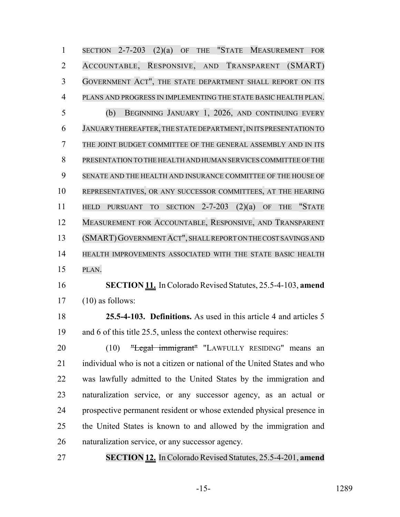SECTION 2-7-203 (2)(a) OF THE "STATE MEASUREMENT FOR ACCOUNTABLE, RESPONSIVE, AND TRANSPARENT (SMART) GOVERNMENT ACT", THE STATE DEPARTMENT SHALL REPORT ON ITS PLANS AND PROGRESS IN IMPLEMENTING THE STATE BASIC HEALTH PLAN. (b) BEGINNING JANUARY 1, 2026, AND CONTINUING EVERY JANUARY THEREAFTER,THE STATE DEPARTMENT, IN ITS PRESENTATION TO THE JOINT BUDGET COMMITTEE OF THE GENERAL ASSEMBLY AND IN ITS PRESENTATION TO THE HEALTH AND HUMAN SERVICESCOMMITTEE OFTHE SENATE AND THE HEALTH AND INSURANCE COMMITTEE OF THE HOUSE OF REPRESENTATIVES, OR ANY SUCCESSOR COMMITTEES, AT THE HEARING HELD PURSUANT TO SECTION 2-7-203 (2)(a) OF THE "STATE MEASUREMENT FOR ACCOUNTABLE, RESPONSIVE, AND TRANSPARENT (SMART)GOVERNMENTACT", SHALLREPORT ON THE COST SAVINGS AND HEALTH IMPROVEMENTS ASSOCIATED WITH THE STATE BASIC HEALTH PLAN. **SECTION 11.** In Colorado Revised Statutes, 25.5-4-103, **amend** (10) as follows: **25.5-4-103. Definitions.** As used in this article 4 and articles 5 and 6 of this title 25.5, unless the context otherwise requires: 20 (10) "Legal immigrant" "LAWFULLY RESIDING" means an individual who is not a citizen or national of the United States and who

 was lawfully admitted to the United States by the immigration and naturalization service, or any successor agency, as an actual or prospective permanent resident or whose extended physical presence in the United States is known to and allowed by the immigration and naturalization service, or any successor agency.

**SECTION 12.** InColorado Revised Statutes, 25.5-4-201, **amend**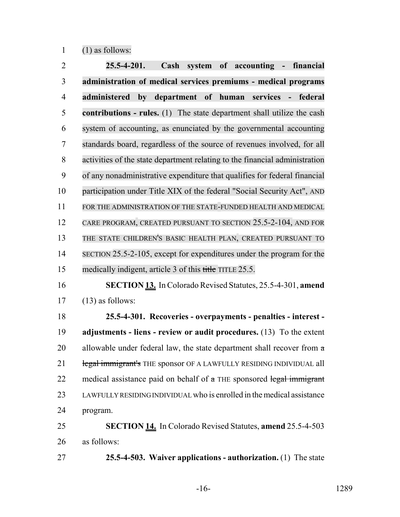$1 \qquad (1)$  as follows:

| $\overline{2}$ | $25.5 - 4 - 201.$<br>Cash<br>system of accounting - financial                 |
|----------------|-------------------------------------------------------------------------------|
| 3              | administration of medical services premiums - medical programs                |
| $\overline{4}$ | department of human<br>administered<br>by<br>services<br>federal<br>$\sim$ .  |
| 5              | <b>contributions - rules.</b> (1) The state department shall utilize the cash |
| 6              | system of accounting, as enunciated by the governmental accounting            |
| 7              | standards board, regardless of the source of revenues involved, for all       |
| 8              | activities of the state department relating to the financial administration   |
| 9              | of any nonadministrative expenditure that qualifies for federal financial     |
| 10             | participation under Title XIX of the federal "Social Security Act", AND       |
| 11             | FOR THE ADMINISTRATION OF THE STATE-FUNDED HEALTH AND MEDICAL                 |
| 12             | CARE PROGRAM, CREATED PURSUANT TO SECTION 25.5-2-104, AND FOR                 |
| 13             | THE STATE CHILDREN'S BASIC HEALTH PLAN, CREATED PURSUANT TO                   |
| 14             | SECTION 25.5-2-105, except for expenditures under the program for the         |
| 15             | medically indigent, article 3 of this title TITLE 25.5.                       |
| 16             | <b>SECTION 13.</b> In Colorado Revised Statutes, 25.5-4-301, amend            |
| 17             | $(13)$ as follows:                                                            |
| 18             | 25.5-4-301. Recoveries - overpayments - penalties - interest -                |
| 19             | adjustments - liens - review or audit procedures. $(13)$ To the extent        |
| 20             | allowable under federal law, the state department shall recover from a        |
| 21             | legal immigrant's THE sponsor OF A LAWFULLY RESIDING INDIVIDUAL all           |
| 22             | medical assistance paid on behalf of a THE sponsored legal immigrant          |
| 23             | LAWFULLY RESIDING INDIVIDUAL who is enrolled in the medical assistance        |
| 24             | program.                                                                      |
| 25             | <b>SECTION 14.</b> In Colorado Revised Statutes, amend 25.5-4-503             |
| 26             | as follows:                                                                   |
|                |                                                                               |

**25.5-4-503. Waiver applications - authorization.** (1) The state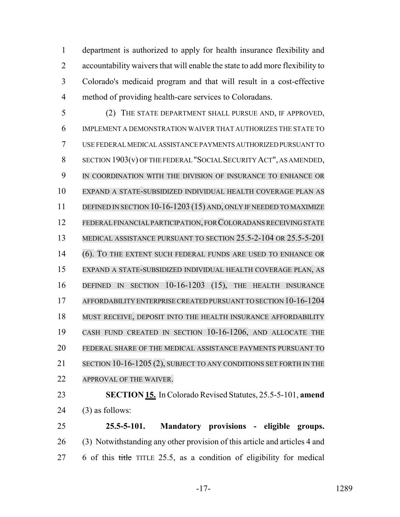department is authorized to apply for health insurance flexibility and accountability waivers that will enable the state to add more flexibility to Colorado's medicaid program and that will result in a cost-effective method of providing health-care services to Coloradans.

 (2) THE STATE DEPARTMENT SHALL PURSUE AND, IF APPROVED, IMPLEMENT A DEMONSTRATION WAIVER THAT AUTHORIZES THE STATE TO USE FEDERAL MEDICAL ASSISTANCE PAYMENTS AUTHORIZED PURSUANT TO SECTION 1903(v) OF THE FEDERAL "SOCIAL SECURITY ACT", AS AMENDED, 9 IN COORDINATION WITH THE DIVISION OF INSURANCE TO ENHANCE OR EXPAND A STATE-SUBSIDIZED INDIVIDUAL HEALTH COVERAGE PLAN AS 11 DEFINED IN SECTION 10-16-1203 (15) AND, ONLY IF NEEDED TO MAXIMIZE 12 FEDERAL FINANCIAL PARTICIPATION, FOR COLORADANS RECEIVING STATE MEDICAL ASSISTANCE PURSUANT TO SECTION 25.5-2-104 OR 25.5-5-201 (6). TO THE EXTENT SUCH FEDERAL FUNDS ARE USED TO ENHANCE OR EXPAND A STATE-SUBSIDIZED INDIVIDUAL HEALTH COVERAGE PLAN, AS DEFINED IN SECTION 10-16-1203 (15), THE HEALTH INSURANCE AFFORDABILITY ENTERPRISE CREATED PURSUANT TO SECTION 10-16-1204 MUST RECEIVE, DEPOSIT INTO THE HEALTH INSURANCE AFFORDABILITY CASH FUND CREATED IN SECTION 10-16-1206, AND ALLOCATE THE FEDERAL SHARE OF THE MEDICAL ASSISTANCE PAYMENTS PURSUANT TO 21 SECTION 10-16-1205 (2), SUBJECT TO ANY CONDITIONS SET FORTH IN THE APPROVAL OF THE WAIVER. **SECTION 15.** In Colorado Revised Statutes, 25.5-5-101, **amend** (3) as follows:

 **25.5-5-101. Mandatory provisions - eligible groups.** (3) Notwithstanding any other provision of this article and articles 4 and 6 of this title TITLE 25.5, as a condition of eligibility for medical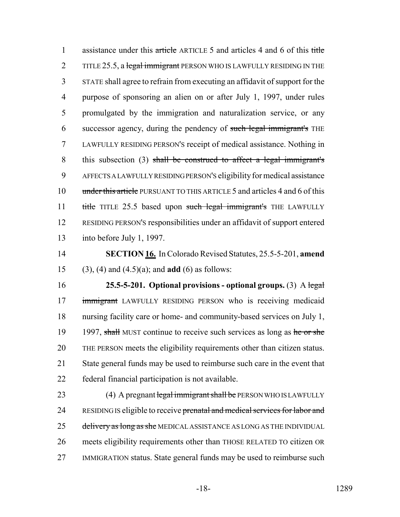1 assistance under this article ARTICLE 5 and articles 4 and 6 of this title 2 TITLE 25.5, a legal immigrant PERSON WHO IS LAWFULLY RESIDING IN THE STATE shall agree to refrain from executing an affidavit of support for the purpose of sponsoring an alien on or after July 1, 1997, under rules promulgated by the immigration and naturalization service, or any successor agency, during the pendency of such legal immigrant's THE LAWFULLY RESIDING PERSON'S receipt of medical assistance. Nothing in this subsection (3) shall be construed to affect a legal immigrant's AFFECTS A LAWFULLY RESIDING PERSON'S eligibility for medical assistance 10 under this article PURSUANT TO THIS ARTICLE 5 and articles 4 and 6 of this 11 title TITLE 25.5 based upon such legal immigrant's THE LAWFULLY RESIDING PERSON'S responsibilities under an affidavit of support entered into before July 1, 1997.

 **SECTION 16.** In Colorado Revised Statutes, 25.5-5-201, **amend** (3), (4) and (4.5)(a); and **add** (6) as follows:

 **25.5-5-201. Optional provisions - optional groups.** (3) A legal 17 immigrant LAWFULLY RESIDING PERSON who is receiving medicaid nursing facility care or home- and community-based services on July 1, 19 1997, shall MUST continue to receive such services as long as he or she THE PERSON meets the eligibility requirements other than citizen status. State general funds may be used to reimburse such care in the event that federal financial participation is not available.

23 (4) A pregnant legal immigrant shall be PERSON WHO IS LAWFULLY 24 RESIDING IS eligible to receive prenatal and medical services for labor and 25 delivery as long as she MEDICAL ASSISTANCE AS LONG AS THE INDIVIDUAL meets eligibility requirements other than THOSE RELATED TO citizen OR IMMIGRATION status. State general funds may be used to reimburse such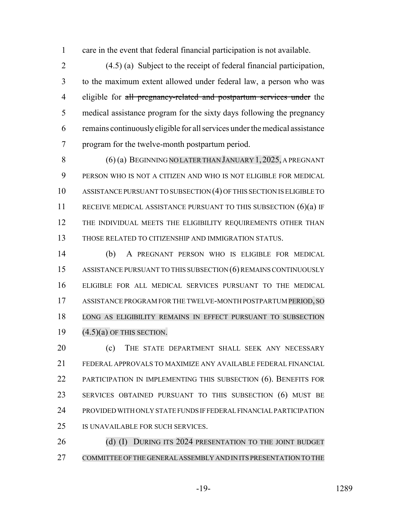care in the event that federal financial participation is not available.

 (4.5) (a) Subject to the receipt of federal financial participation, to the maximum extent allowed under federal law, a person who was 4 eligible for all pregnancy-related and postpartum services under the medical assistance program for the sixty days following the pregnancy remains continuously eligible for all services under the medical assistance program for the twelve-month postpartum period.

 (6) (a) BEGINNING NO LATERTHAN JANUARY 1,2025, A PREGNANT PERSON WHO IS NOT A CITIZEN AND WHO IS NOT ELIGIBLE FOR MEDICAL ASSISTANCE PURSUANT TO SUBSECTION (4) OF THIS SECTION IS ELIGIBLE TO 11 RECEIVE MEDICAL ASSISTANCE PURSUANT TO THIS SUBSECTION (6)(a) IF 12 THE INDIVIDUAL MEETS THE ELIGIBILITY REQUIREMENTS OTHER THAN THOSE RELATED TO CITIZENSHIP AND IMMIGRATION STATUS.

 (b) A PREGNANT PERSON WHO IS ELIGIBLE FOR MEDICAL ASSISTANCE PURSUANT TO THIS SUBSECTION (6) REMAINS CONTINUOUSLY ELIGIBLE FOR ALL MEDICAL SERVICES PURSUANT TO THE MEDICAL ASSISTANCE PROGRAM FOR THE TWELVE-MONTH POSTPARTUM PERIOD, SO LONG AS ELIGIBILITY REMAINS IN EFFECT PURSUANT TO SUBSECTION  $(4.5)(a)$  OF THIS SECTION.

20 (c) THE STATE DEPARTMENT SHALL SEEK ANY NECESSARY FEDERAL APPROVALS TO MAXIMIZE ANY AVAILABLE FEDERAL FINANCIAL 22 PARTICIPATION IN IMPLEMENTING THIS SUBSECTION (6). BENEFITS FOR SERVICES OBTAINED PURSUANT TO THIS SUBSECTION (6) MUST BE PROVIDED WITH ONLY STATE FUNDS IF FEDERAL FINANCIAL PARTICIPATION IS UNAVAILABLE FOR SUCH SERVICES.

26 (d) (I) DURING ITS 2024 PRESENTATION TO THE JOINT BUDGET COMMITTEE OF THE GENERAL ASSEMBLY AND IN ITS PRESENTATION TO THE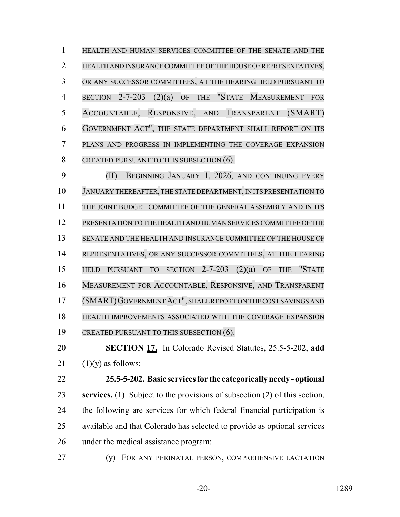HEALTH AND HUMAN SERVICES COMMITTEE OF THE SENATE AND THE HEALTH AND INSURANCE COMMITTEE OF THE HOUSE OF REPRESENTATIVES, OR ANY SUCCESSOR COMMITTEES, AT THE HEARING HELD PURSUANT TO SECTION 2-7-203 (2)(a) OF THE "STATE MEASUREMENT FOR ACCOUNTABLE, RESPONSIVE, AND TRANSPARENT (SMART) GOVERNMENT ACT", THE STATE DEPARTMENT SHALL REPORT ON ITS PLANS AND PROGRESS IN IMPLEMENTING THE COVERAGE EXPANSION 8 CREATED PURSUANT TO THIS SUBSECTION (6).

 (II) BEGINNING JANUARY 1, 2026, AND CONTINUING EVERY JANUARY THEREAFTER, THE STATE DEPARTMENT,IN ITS PRESENTATION TO THE JOINT BUDGET COMMITTEE OF THE GENERAL ASSEMBLY AND IN ITS PRESENTATION TO THE HEALTH AND HUMAN SERVICESCOMMITTEE OF THE SENATE AND THE HEALTH AND INSURANCE COMMITTEE OF THE HOUSE OF REPRESENTATIVES, OR ANY SUCCESSOR COMMITTEES, AT THE HEARING HELD PURSUANT TO SECTION 2-7-203 (2)(a) OF THE "STATE MEASUREMENT FOR ACCOUNTABLE, RESPONSIVE, AND TRANSPARENT (SMART)GOVERNMENTACT", SHALLREPORT ON THE COST SAVINGS AND HEALTH IMPROVEMENTS ASSOCIATED WITH THE COVERAGE EXPANSION 19 CREATED PURSUANT TO THIS SUBSECTION (6).

 **SECTION 17.** In Colorado Revised Statutes, 25.5-5-202, **add** 21  $(1)(y)$  as follows:

 **25.5-5-202. Basic services for the categorically needy - optional services.** (1) Subject to the provisions of subsection (2) of this section, the following are services for which federal financial participation is available and that Colorado has selected to provide as optional services under the medical assistance program:

(y) FOR ANY PERINATAL PERSON, COMPREHENSIVE LACTATION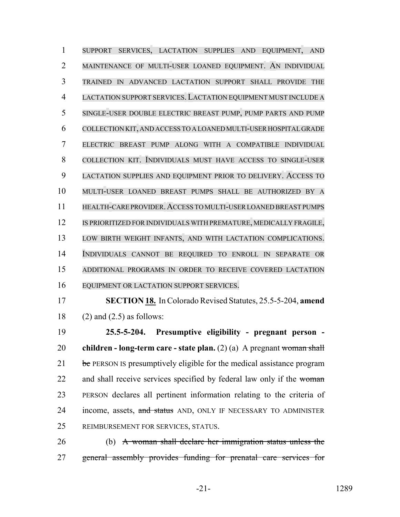SUPPORT SERVICES, LACTATION SUPPLIES AND EQUIPMENT, AND MAINTENANCE OF MULTI-USER LOANED EQUIPMENT. AN INDIVIDUAL TRAINED IN ADVANCED LACTATION SUPPORT SHALL PROVIDE THE LACTATION SUPPORT SERVICES.LACTATION EQUIPMENT MUST INCLUDE A SINGLE-USER DOUBLE ELECTRIC BREAST PUMP, PUMP PARTS AND PUMP COLLECTION KIT, AND ACCESS TO A LOANED MULTI-USER HOSPITAL GRADE ELECTRIC BREAST PUMP ALONG WITH A COMPATIBLE INDIVIDUAL COLLECTION KIT. INDIVIDUALS MUST HAVE ACCESS TO SINGLE-USER LACTATION SUPPLIES AND EQUIPMENT PRIOR TO DELIVERY. ACCESS TO MULTI-USER LOANED BREAST PUMPS SHALL BE AUTHORIZED BY A HEALTH-CARE PROVIDER.ACCESS TO MULTI-USERLOANED BREAST PUMPS IS PRIORITIZED FOR INDIVIDUALS WITH PREMATURE, MEDICALLY FRAGILE, LOW BIRTH WEIGHT INFANTS, AND WITH LACTATION COMPLICATIONS. INDIVIDUALS CANNOT BE REQUIRED TO ENROLL IN SEPARATE OR ADDITIONAL PROGRAMS IN ORDER TO RECEIVE COVERED LACTATION EQUIPMENT OR LACTATION SUPPORT SERVICES.

 **SECTION 18.** In Colorado Revised Statutes, 25.5-5-204, **amend** 18 (2) and  $(2.5)$  as follows:

 **25.5-5-204. Presumptive eligibility - pregnant person - children - long-term care - state plan.** (2) (a) A pregnant woman shall be PERSON IS presumptively eligible for the medical assistance program 22 and shall receive services specified by federal law only if the woman PERSON declares all pertinent information relating to the criteria of 24 income, assets, and status AND, ONLY IF NECESSARY TO ADMINISTER REIMBURSEMENT FOR SERVICES, STATUS.

 (b) A woman shall declare her immigration status unless the general assembly provides funding for prenatal care services for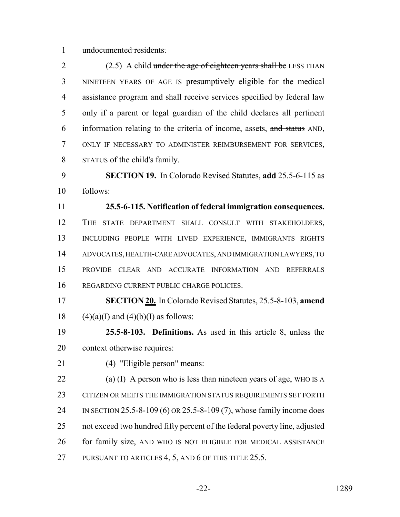undocumented residents.

2 (2.5) A child under the age of eighteen years shall be LESS THAN NINETEEN YEARS OF AGE IS presumptively eligible for the medical assistance program and shall receive services specified by federal law only if a parent or legal guardian of the child declares all pertinent information relating to the criteria of income, assets, and status AND, ONLY IF NECESSARY TO ADMINISTER REIMBURSEMENT FOR SERVICES, STATUS of the child's family.

 **SECTION 19.** In Colorado Revised Statutes, **add** 25.5-6-115 as follows:

 **25.5-6-115. Notification of federal immigration consequences.** THE STATE DEPARTMENT SHALL CONSULT WITH STAKEHOLDERS, INCLUDING PEOPLE WITH LIVED EXPERIENCE, IMMIGRANTS RIGHTS ADVOCATES, HEALTH-CARE ADVOCATES, AND IMMIGRATION LAWYERS, TO PROVIDE CLEAR AND ACCURATE INFORMATION AND REFERRALS REGARDING CURRENT PUBLIC CHARGE POLICIES.

 **SECTION 20.** In Colorado Revised Statutes, 25.5-8-103, **amend** 18 (4)(a)(I) and (4)(b)(I) as follows:

 **25.5-8-103. Definitions.** As used in this article 8, unless the context otherwise requires:

(4) "Eligible person" means:

 (a) (I) A person who is less than nineteen years of age, WHO IS A CITIZEN OR MEETS THE IMMIGRATION STATUS REQUIREMENTS SET FORTH IN SECTION 25.5-8-109 (6) OR 25.5-8-109 (7), whose family income does not exceed two hundred fifty percent of the federal poverty line, adjusted for family size, AND WHO IS NOT ELIGIBLE FOR MEDICAL ASSISTANCE 27 PURSUANT TO ARTICLES 4, 5, AND 6 OF THIS TITLE 25.5.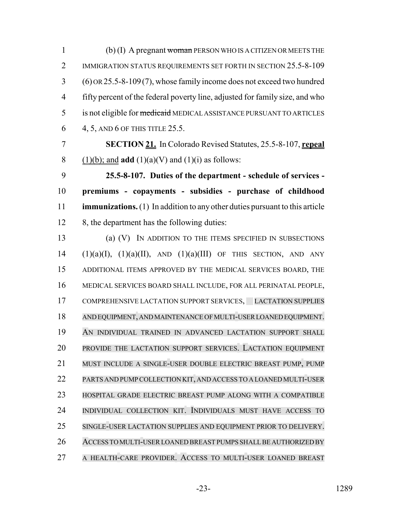(b) (I) A pregnant woman PERSON WHO IS A CITIZEN OR MEETS THE 2 IMMIGRATION STATUS REQUIREMENTS SET FORTH IN SECTION 25.5-8-109 (6) OR 25.5-8-109(7), whose family income does not exceed two hundred fifty percent of the federal poverty line, adjusted for family size, and who 5 is not eligible for medicaid MEDICAL ASSISTANCE PURSUANT TO ARTICLES 4, 5, AND 6 OF THIS TITLE 25.5.

 **SECTION 21.** In Colorado Revised Statutes, 25.5-8-107, **repeal** 8 (1)(b); and **add** (1)(a)(V) and (1)(i) as follows:

 **25.5-8-107. Duties of the department - schedule of services - premiums - copayments - subsidies - purchase of childhood immunizations.** (1) In addition to any other duties pursuant to this article 12 8, the department has the following duties:

 (a) (V) IN ADDITION TO THE ITEMS SPECIFIED IN SUBSECTIONS (1)(a)(I), (1)(a)(II), AND (1)(a)(III) OF THIS SECTION, AND ANY ADDITIONAL ITEMS APPROVED BY THE MEDICAL SERVICES BOARD, THE MEDICAL SERVICES BOARD SHALL INCLUDE, FOR ALL PERINATAL PEOPLE, 17 COMPREHENSIVE LACTATION SUPPORT SERVICES, LACTATION SUPPLIES AND EQUIPMENT, AND MAINTENANCE OF MULTI-USER LOANED EQUIPMENT. AN INDIVIDUAL TRAINED IN ADVANCED LACTATION SUPPORT SHALL PROVIDE THE LACTATION SUPPORT SERVICES. LACTATION EQUIPMENT MUST INCLUDE A SINGLE-USER DOUBLE ELECTRIC BREAST PUMP, PUMP PARTS AND PUMPCOLLECTION KIT, AND ACCESS TO A LOANED MULTI-USER HOSPITAL GRADE ELECTRIC BREAST PUMP ALONG WITH A COMPATIBLE INDIVIDUAL COLLECTION KIT. INDIVIDUALS MUST HAVE ACCESS TO SINGLE-USER LACTATION SUPPLIES AND EQUIPMENT PRIOR TO DELIVERY. ACCESS TO MULTI-USER LOANED BREAST PUMPS SHALL BE AUTHORIZED BY A HEALTH-CARE PROVIDER. ACCESS TO MULTI-USER LOANED BREAST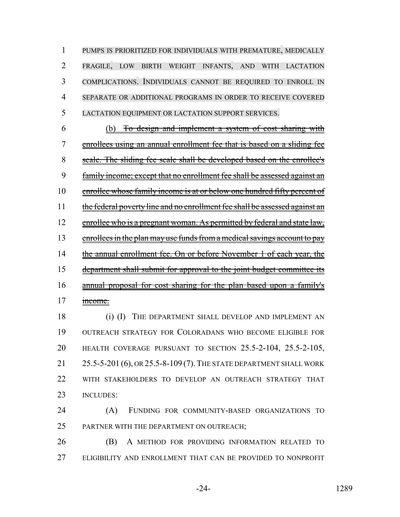PUMPS IS PRIORITIZED FOR INDIVIDUALS WITH PREMATURE, MEDICALLY FRAGILE, LOW BIRTH WEIGHT INFANTS, AND WITH LACTATION COMPLICATIONS. INDIVIDUALS CANNOT BE REQUIRED TO ENROLL IN SEPARATE OR ADDITIONAL PROGRAMS IN ORDER TO RECEIVE COVERED LACTATION EQUIPMENT OR LACTATION SUPPORT SERVICES.

 (b) To design and implement a system of cost sharing with enrollees using an annual enrollment fee that is based on a sliding fee 8 scale. The sliding fee scale shall be developed based on the enrollee's family income; except that no enrollment fee shall be assessed against an 10 enrollee whose family income is at or below one hundred fifty percent of 11 the federal poverty line and no enrollment fee shall be assessed against an 12 enrollee who is a pregnant woman. As permitted by federal and state law, 13 enrollees in the plan may use funds from a medical savings account to pay 14 the annual enrollment fee. On or before November 1 of each year, the department shall submit for approval to the joint budget committee its annual proposal for cost sharing for the plan based upon a family's 17 income.

18 (i) (I) THE DEPARTMENT SHALL DEVELOP AND IMPLEMENT AN OUTREACH STRATEGY FOR COLORADANS WHO BECOME ELIGIBLE FOR HEALTH COVERAGE PURSUANT TO SECTION 25.5-2-104, 25.5-2-105, 25.5-5-201 (6), OR 25.5-8-109 (7).THE STATE DEPARTMENT SHALL WORK WITH STAKEHOLDERS TO DEVELOP AN OUTREACH STRATEGY THAT INCLUDES:

 (A) FUNDING FOR COMMUNITY-BASED ORGANIZATIONS TO 25 PARTNER WITH THE DEPARTMENT ON OUTREACH;

 (B) A METHOD FOR PROVIDING INFORMATION RELATED TO ELIGIBILITY AND ENROLLMENT THAT CAN BE PROVIDED TO NONPROFIT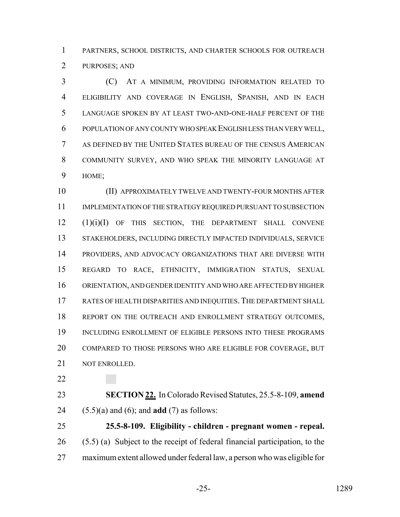PARTNERS, SCHOOL DISTRICTS, AND CHARTER SCHOOLS FOR OUTREACH PURPOSES; AND

 (C) AT A MINIMUM, PROVIDING INFORMATION RELATED TO ELIGIBILITY AND COVERAGE IN ENGLISH, SPANISH, AND IN EACH LANGUAGE SPOKEN BY AT LEAST TWO-AND-ONE-HALF PERCENT OF THE POPULATION OF ANY COUNTY WHO SPEAK ENGLISH LESS THAN VERY WELL, AS DEFINED BY THE UNITED STATES BUREAU OF THE CENSUS AMERICAN COMMUNITY SURVEY, AND WHO SPEAK THE MINORITY LANGUAGE AT HOME;

 (II) APPROXIMATELY TWELVE AND TWENTY-FOUR MONTHS AFTER IMPLEMENTATION OF THE STRATEGY REQUIRED PURSUANT TO SUBSECTION (1)(i)(I) OF THIS SECTION, THE DEPARTMENT SHALL CONVENE STAKEHOLDERS, INCLUDING DIRECTLY IMPACTED INDIVIDUALS, SERVICE PROVIDERS, AND ADVOCACY ORGANIZATIONS THAT ARE DIVERSE WITH REGARD TO RACE, ETHNICITY, IMMIGRATION STATUS, SEXUAL ORIENTATION, AND GENDER IDENTITY AND WHO ARE AFFECTED BY HIGHER RATES OF HEALTH DISPARITIES AND INEQUITIES.THE DEPARTMENT SHALL 18 REPORT ON THE OUTREACH AND ENROLLMENT STRATEGY OUTCOMES, INCLUDING ENROLLMENT OF ELIGIBLE PERSONS INTO THESE PROGRAMS COMPARED TO THOSE PERSONS WHO ARE ELIGIBLE FOR COVERAGE, BUT NOT ENROLLED.

 **SECTION 22.** In Colorado Revised Statutes, 25.5-8-109, **amend** (5.5)(a) and (6); and **add** (7) as follows:

 **25.5-8-109. Eligibility - children - pregnant women - repeal.** (5.5) (a) Subject to the receipt of federal financial participation, to the maximum extent allowed under federal law, a person who was eligible for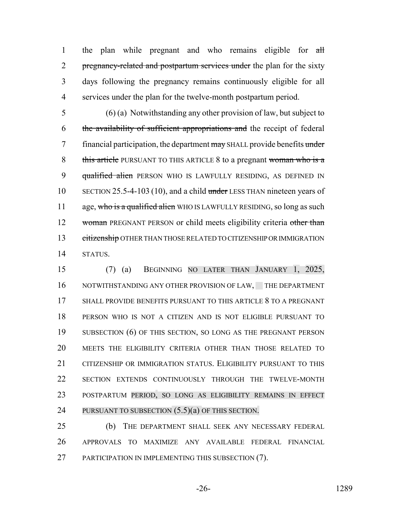1 the plan while pregnant and who remains eligible for all 2 pregnancy-related and postpartum services under the plan for the sixty 3 days following the pregnancy remains continuously eligible for all 4 services under the plan for the twelve-month postpartum period.

5 (6) (a) Notwithstanding any other provision of law, but subject to 6 the availability of sufficient appropriations and the receipt of federal 7 financial participation, the department may SHALL provide benefits under 8 this article PURSUANT TO THIS ARTICLE 8 to a pregnant woman who is a 9 qualified alien PERSON WHO IS LAWFULLY RESIDING, AS DEFINED IN 10 SECTION 25.5-4-103 (10), and a child under LESS THAN nineteen years of 11 age, who is a qualified alien WHO IS LAWFULLY RESIDING, so long as such 12 woman PREGNANT PERSON or child meets eligibility criteria other than 13 citizenship OTHER THAN THOSE RELATED TO CITIZENSHIP OR IMMIGRATION 14 STATUS.

 (7) (a) BEGINNING NO LATER THAN JANUARY 1, 2025, 16 NOTWITHSTANDING ANY OTHER PROVISION OF LAW, THE DEPARTMENT SHALL PROVIDE BENEFITS PURSUANT TO THIS ARTICLE 8 TO A PREGNANT PERSON WHO IS NOT A CITIZEN AND IS NOT ELIGIBLE PURSUANT TO 19 SUBSECTION (6) OF THIS SECTION, SO LONG AS THE PREGNANT PERSON MEETS THE ELIGIBILITY CRITERIA OTHER THAN THOSE RELATED TO CITIZENSHIP OR IMMIGRATION STATUS. ELIGIBILITY PURSUANT TO THIS SECTION EXTENDS CONTINUOUSLY THROUGH THE TWELVE-MONTH POSTPARTUM PERIOD, SO LONG AS ELIGIBILITY REMAINS IN EFFECT PURSUANT TO SUBSECTION (5.5)(a) OF THIS SECTION.

25 (b) THE DEPARTMENT SHALL SEEK ANY NECESSARY FEDERAL 26 APPROVALS TO MAXIMIZE ANY AVAILABLE FEDERAL FINANCIAL 27 PARTICIPATION IN IMPLEMENTING THIS SUBSECTION (7).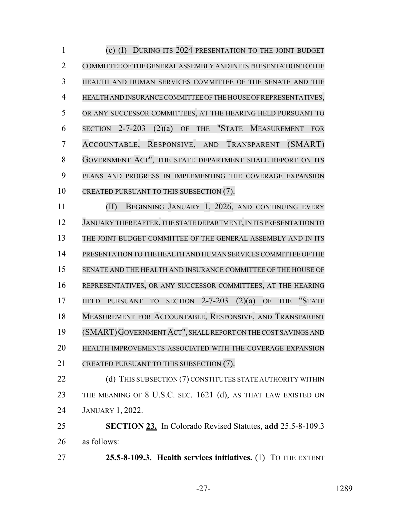(c) (I) DURING ITS 2024 PRESENTATION TO THE JOINT BUDGET COMMITTEE OF THE GENERAL ASSEMBLY AND IN ITS PRESENTATION TO THE HEALTH AND HUMAN SERVICES COMMITTEE OF THE SENATE AND THE HEALTH AND INSURANCE COMMITTEE OF THE HOUSE OF REPRESENTATIVES, OR ANY SUCCESSOR COMMITTEES, AT THE HEARING HELD PURSUANT TO SECTION 2-7-203 (2)(a) OF THE "STATE MEASUREMENT FOR ACCOUNTABLE, RESPONSIVE, AND TRANSPARENT (SMART) GOVERNMENT ACT", THE STATE DEPARTMENT SHALL REPORT ON ITS PLANS AND PROGRESS IN IMPLEMENTING THE COVERAGE EXPANSION 10 CREATED PURSUANT TO THIS SUBSECTION (7).

 (II) BEGINNING JANUARY 1, 2026, AND CONTINUING EVERY 12 JANUARY THEREAFTER, THE STATE DEPARTMENT, IN ITS PRESENTATION TO THE JOINT BUDGET COMMITTEE OF THE GENERAL ASSEMBLY AND IN ITS PRESENTATION TO THE HEALTH AND HUMAN SERVICESCOMMITTEE OFTHE SENATE AND THE HEALTH AND INSURANCE COMMITTEE OF THE HOUSE OF REPRESENTATIVES, OR ANY SUCCESSOR COMMITTEES, AT THE HEARING HELD PURSUANT TO SECTION 2-7-203 (2)(a) OF THE "STATE MEASUREMENT FOR ACCOUNTABLE, RESPONSIVE, AND TRANSPARENT (SMART)GOVERNMENTACT", SHALL REPORT ON THE COST SAVINGS AND HEALTH IMPROVEMENTS ASSOCIATED WITH THE COVERAGE EXPANSION 21 CREATED PURSUANT TO THIS SUBSECTION (7).

22 (d) THIS SUBSECTION (7) CONSTITUTES STATE AUTHORITY WITHIN THE MEANING OF 8 U.S.C. SEC. 1621 (d), AS THAT LAW EXISTED ON JANUARY 1, 2022.

 **SECTION 23.** In Colorado Revised Statutes, **add** 25.5-8-109.3 as follows:

**25.5-8-109.3. Health services initiatives.** (1) TO THE EXTENT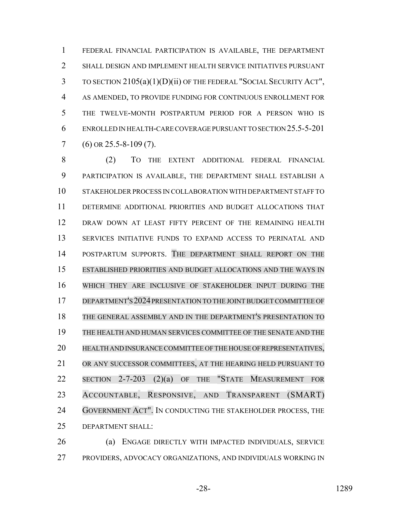FEDERAL FINANCIAL PARTICIPATION IS AVAILABLE, THE DEPARTMENT SHALL DESIGN AND IMPLEMENT HEALTH SERVICE INITIATIVES PURSUANT TO SECTION 2105(a)(1)(D)(ii) OF THE FEDERAL "SOCIAL SECURITY ACT", AS AMENDED, TO PROVIDE FUNDING FOR CONTINUOUS ENROLLMENT FOR THE TWELVE-MONTH POSTPARTUM PERIOD FOR A PERSON WHO IS ENROLLED IN HEALTH-CARE COVERAGE PURSUANT TO SECTION 25.5-5-201 (6) OR 25.5-8-109 (7).

 (2) TO THE EXTENT ADDITIONAL FEDERAL FINANCIAL PARTICIPATION IS AVAILABLE, THE DEPARTMENT SHALL ESTABLISH A STAKEHOLDER PROCESS IN COLLABORATION WITH DEPARTMENT STAFF TO DETERMINE ADDITIONAL PRIORITIES AND BUDGET ALLOCATIONS THAT DRAW DOWN AT LEAST FIFTY PERCENT OF THE REMAINING HEALTH SERVICES INITIATIVE FUNDS TO EXPAND ACCESS TO PERINATAL AND POSTPARTUM SUPPORTS. THE DEPARTMENT SHALL REPORT ON THE ESTABLISHED PRIORITIES AND BUDGET ALLOCATIONS AND THE WAYS IN WHICH THEY ARE INCLUSIVE OF STAKEHOLDER INPUT DURING THE DEPARTMENT'S 2024 PRESENTATION TO THE JOINT BUDGET COMMITTEE OF THE GENERAL ASSEMBLY AND IN THE DEPARTMENT'S PRESENTATION TO THE HEALTH AND HUMAN SERVICES COMMITTEE OF THE SENATE AND THE HEALTH AND INSURANCE COMMITTEE OF THE HOUSE OF REPRESENTATIVES, OR ANY SUCCESSOR COMMITTEES, AT THE HEARING HELD PURSUANT TO SECTION 2-7-203 (2)(a) OF THE "STATE MEASUREMENT FOR ACCOUNTABLE, RESPONSIVE, AND TRANSPARENT (SMART) 24 GOVERNMENT ACT". IN CONDUCTING THE STAKEHOLDER PROCESS, THE DEPARTMENT SHALL:

 (a) ENGAGE DIRECTLY WITH IMPACTED INDIVIDUALS, SERVICE PROVIDERS, ADVOCACY ORGANIZATIONS, AND INDIVIDUALS WORKING IN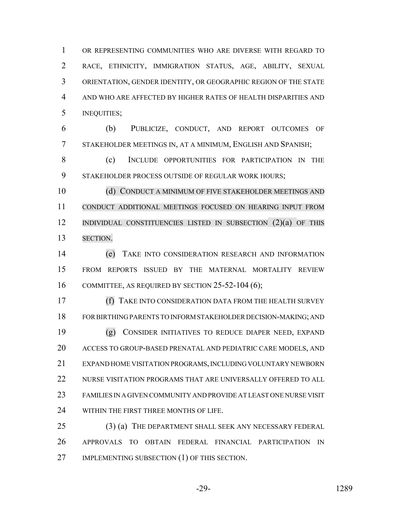OR REPRESENTING COMMUNITIES WHO ARE DIVERSE WITH REGARD TO RACE, ETHNICITY, IMMIGRATION STATUS, AGE, ABILITY, SEXUAL ORIENTATION, GENDER IDENTITY, OR GEOGRAPHIC REGION OF THE STATE AND WHO ARE AFFECTED BY HIGHER RATES OF HEALTH DISPARITIES AND INEQUITIES;

 (b) PUBLICIZE, CONDUCT, AND REPORT OUTCOMES OF STAKEHOLDER MEETINGS IN, AT A MINIMUM, ENGLISH AND SPANISH;

 (c) INCLUDE OPPORTUNITIES FOR PARTICIPATION IN THE STAKEHOLDER PROCESS OUTSIDE OF REGULAR WORK HOURS;

10 (d) CONDUCT A MINIMUM OF FIVE STAKEHOLDER MEETINGS AND CONDUCT ADDITIONAL MEETINGS FOCUSED ON HEARING INPUT FROM INDIVIDUAL CONSTITUENCIES LISTED IN SUBSECTION (2)(a) OF THIS SECTION.

 (e) TAKE INTO CONSIDERATION RESEARCH AND INFORMATION FROM REPORTS ISSUED BY THE MATERNAL MORTALITY REVIEW 16 COMMITTEE, AS REQUIRED BY SECTION 25-52-104 (6);

 (f) TAKE INTO CONSIDERATION DATA FROM THE HEALTH SURVEY FOR BIRTHING PARENTS TO INFORM STAKEHOLDER DECISION-MAKING; AND (g) CONSIDER INITIATIVES TO REDUCE DIAPER NEED, EXPAND ACCESS TO GROUP-BASED PRENATAL AND PEDIATRIC CARE MODELS, AND EXPAND HOME VISITATION PROGRAMS, INCLUDING VOLUNTARY NEWBORN NURSE VISITATION PROGRAMS THAT ARE UNIVERSALLY OFFERED TO ALL FAMILIES IN A GIVEN COMMUNITY AND PROVIDE AT LEAST ONE NURSE VISIT 24 WITHIN THE FIRST THREE MONTHS OF LIFE.

25 (3) (a) THE DEPARTMENT SHALL SEEK ANY NECESSARY FEDERAL APPROVALS TO OBTAIN FEDERAL FINANCIAL PARTICIPATION IN 27 IMPLEMENTING SUBSECTION (1) OF THIS SECTION.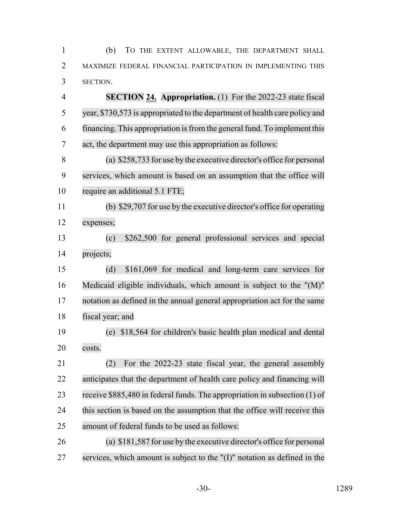(b) TO THE EXTENT ALLOWABLE, THE DEPARTMENT SHALL 2 MAXIMIZE FEDERAL FINANCIAL PARTICIPATION IN IMPLEMENTING THIS SECTION.

 **SECTION 24. Appropriation.** (1) For the 2022-23 state fiscal year, \$730,573 is appropriated to the department of health care policy and 6 financing. This appropriation is from the general fund. To implement this act, the department may use this appropriation as follows:

 (a) \$258,733 for use by the executive director's office for personal services, which amount is based on an assumption that the office will require an additional 5.1 FTE;

 (b) \$29,707 for use by the executive director's office for operating expenses;

 (c) \$262,500 for general professional services and special projects;

 (d) \$161,069 for medical and long-term care services for Medicaid eligible individuals, which amount is subject to the "(M)" notation as defined in the annual general appropriation act for the same fiscal year; and

 (e) \$18,564 for children's basic health plan medical and dental costs.

 (2) For the 2022-23 state fiscal year, the general assembly anticipates that the department of health care policy and financing will receive \$885,480 in federal funds. The appropriation in subsection (1) of this section is based on the assumption that the office will receive this amount of federal funds to be used as follows:

 (a) \$181,587 for use by the executive director's office for personal services, which amount is subject to the "(I)" notation as defined in the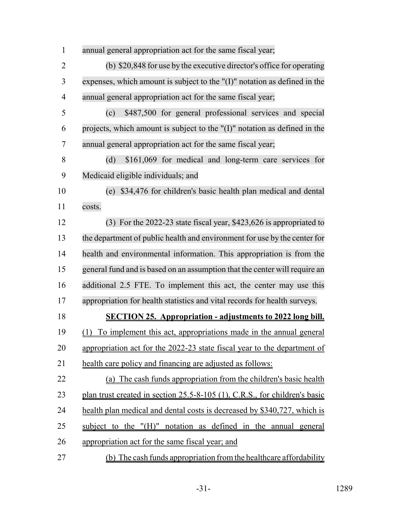| $\mathbf{1}$   | annual general appropriation act for the same fiscal year;                    |
|----------------|-------------------------------------------------------------------------------|
| $\overline{2}$ | (b) \$20,848 for use by the executive director's office for operating         |
| 3              | expenses, which amount is subject to the $''(I)''$ notation as defined in the |
| $\overline{4}$ | annual general appropriation act for the same fiscal year;                    |
| 5              | \$487,500 for general professional services and special<br>(c)                |
| 6              | projects, which amount is subject to the "(I)" notation as defined in the     |
| 7              | annual general appropriation act for the same fiscal year;                    |
| 8              | \$161,069 for medical and long-term care services for<br>(d)                  |
| 9              | Medicaid eligible individuals; and                                            |
| 10             | (e) \$34,476 for children's basic health plan medical and dental              |
| 11             | costs.                                                                        |
| 12             | $(3)$ For the 2022-23 state fiscal year, \$423,626 is appropriated to         |
| 13             | the department of public health and environment for use by the center for     |
| 14             | health and environmental information. This appropriation is from the          |
| 15             | general fund and is based on an assumption that the center will require an    |
| 16             | additional 2.5 FTE. To implement this act, the center may use this            |
| 17             | appropriation for health statistics and vital records for health surveys.     |
| 18             | <b>SECTION 25. Appropriation - adjustments to 2022 long bill.</b>             |
| 19             | (1) To implement this act, appropriations made in the annual general          |
| 20             | appropriation act for the 2022-23 state fiscal year to the department of      |
| 21             | health care policy and financing are adjusted as follows:                     |
| 22             | (a) The cash funds appropriation from the children's basic health             |
| 23             | plan trust created in section 25.5-8-105 (1), C.R.S., for children's basic    |
| 24             | health plan medical and dental costs is decreased by \$340,727, which is      |
| 25             | subject to the "(H)" notation as defined in the annual general                |
| 26             | appropriation act for the same fiscal year; and                               |
| 27             | (b) The cash funds appropriation from the healthcare affordability            |